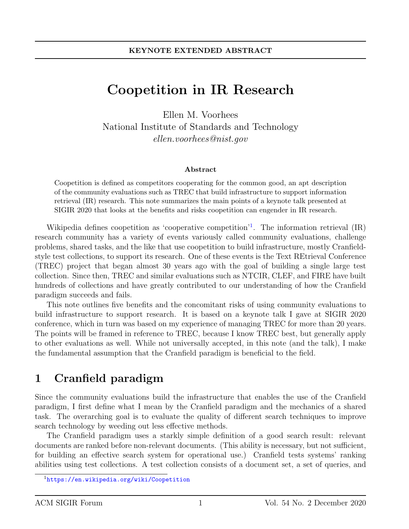# Coopetition in IR Research

Ellen M. Voorhees National Institute of Standards and Technology ellen.voorhees@nist.gov

#### Abstract

Coopetition is defined as competitors cooperating for the common good, an apt description of the community evaluations such as TREC that build infrastructure to support information retrieval (IR) research. This note summarizes the main points of a keynote talk presented at SIGIR 2020 that looks at the benefits and risks coopetition can engender in IR research.

Wikipedia defines coopetition as 'cooperative competition'<sup>[1](#page-0-0)</sup>. The information retrieval (IR) research community has a variety of events variously called community evaluations, challenge problems, shared tasks, and the like that use coopetition to build infrastructure, mostly Cranfieldstyle test collections, to support its research. One of these events is the Text REtrieval Conference (TREC) project that began almost 30 years ago with the goal of building a single large test collection. Since then, TREC and similar evaluations such as NTCIR, CLEF, and FIRE have built hundreds of collections and have greatly contributed to our understanding of how the Cranfield paradigm succeeds and fails.

This note outlines five benefits and the concomitant risks of using community evaluations to build infrastructure to support research. It is based on a keynote talk I gave at SIGIR 2020 conference, which in turn was based on my experience of managing TREC for more than 20 years. The points will be framed in reference to TREC, because I know TREC best, but generally apply to other evaluations as well. While not universally accepted, in this note (and the talk), I make the fundamental assumption that the Cranfield paradigm is beneficial to the field.

### 1 Cranfield paradigm

Since the community evaluations build the infrastructure that enables the use of the Cranfield paradigm, I first define what I mean by the Cranfield paradigm and the mechanics of a shared task. The overarching goal is to evaluate the quality of different search techniques to improve search technology by weeding out less effective methods.

The Cranfield paradigm uses a starkly simple definition of a good search result: relevant documents are ranked before non-relevant documents. (This ability is necessary, but not sufficient, for building an effective search system for operational use.) Cranfield tests systems' ranking abilities using test collections. A test collection consists of a document set, a set of queries, and

<span id="page-0-0"></span><sup>&</sup>lt;sup>1</sup><https://en.wikipedia.org/wiki/Coopetition>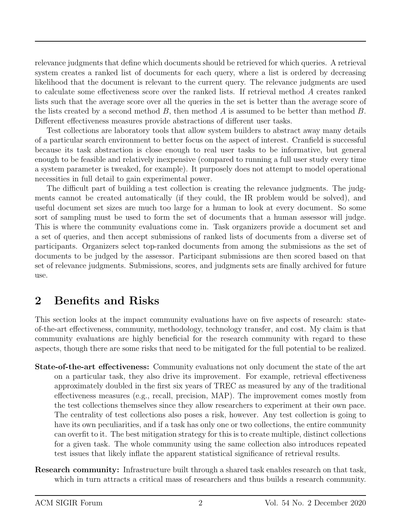relevance judgments that define which documents should be retrieved for which queries. A retrieval system creates a ranked list of documents for each query, where a list is ordered by decreasing likelihood that the document is relevant to the current query. The relevance judgments are used to calculate some effectiveness score over the ranked lists. If retrieval method A creates ranked lists such that the average score over all the queries in the set is better than the average score of the lists created by a second method  $B$ , then method  $A$  is assumed to be better than method  $B$ . Different effectiveness measures provide abstractions of different user tasks.

Test collections are laboratory tools that allow system builders to abstract away many details of a particular search environment to better focus on the aspect of interest. Cranfield is successful because its task abstraction is close enough to real user tasks to be informative, but general enough to be feasible and relatively inexpensive (compared to running a full user study every time a system parameter is tweaked, for example). It purposely does not attempt to model operational necessities in full detail to gain experimental power.

The difficult part of building a test collection is creating the relevance judgments. The judgments cannot be created automatically (if they could, the IR problem would be solved), and useful document set sizes are much too large for a human to look at every document. So some sort of sampling must be used to form the set of documents that a human assessor will judge. This is where the community evaluations come in. Task organizers provide a document set and a set of queries, and then accept submissions of ranked lists of documents from a diverse set of participants. Organizers select top-ranked documents from among the submissions as the set of documents to be judged by the assessor. Participant submissions are then scored based on that set of relevance judgments. Submissions, scores, and judgments sets are finally archived for future use.

#### 2 Benefits and Risks

This section looks at the impact community evaluations have on five aspects of research: stateof-the-art effectiveness, community, methodology, technology transfer, and cost. My claim is that community evaluations are highly beneficial for the research community with regard to these aspects, though there are some risks that need to be mitigated for the full potential to be realized.

- State-of-the-art effectiveness: Community evaluations not only document the state of the art on a particular task, they also drive its improvement. For example, retrieval effectiveness approximately doubled in the first six years of TREC as measured by any of the traditional effectiveness measures (e.g., recall, precision, MAP). The improvement comes mostly from the test collections themselves since they allow researchers to experiment at their own pace. The centrality of test collections also poses a risk, however. Any test collection is going to have its own peculiarities, and if a task has only one or two collections, the entire community can overfit to it. The best mitigation strategy for this is to create multiple, distinct collections for a given task. The whole community using the same collection also introduces repeated test issues that likely inflate the apparent statistical significance of retrieval results.
- Research community: Infrastructure built through a shared task enables research on that task, which in turn attracts a critical mass of researchers and thus builds a research community.